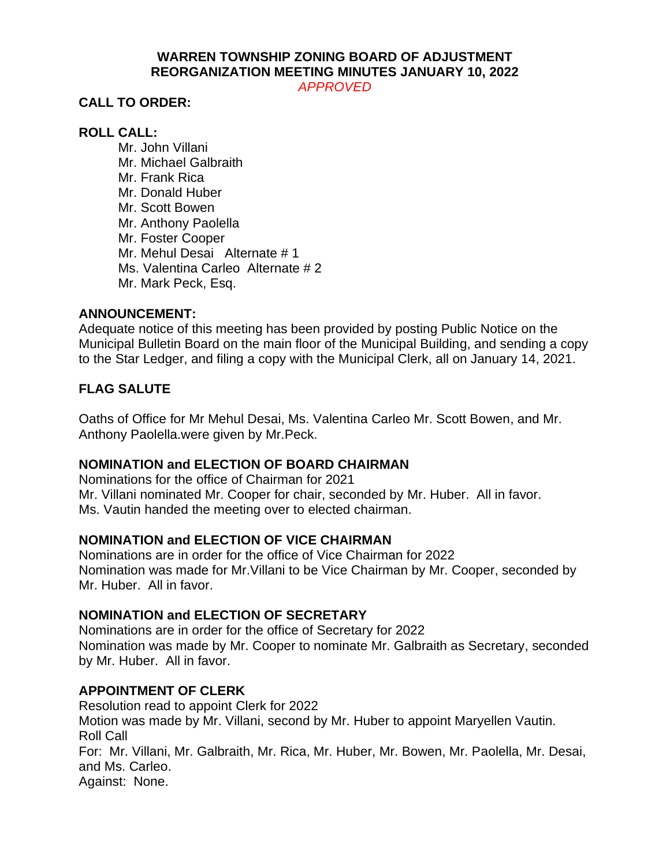# **WARREN TOWNSHIP ZONING BOARD OF ADJUSTMENT REORGANIZATION MEETING MINUTES JANUARY 10, 2022**

*APPROVED*

## **CALL TO ORDER:**

## **ROLL CALL:**

Mr. John Villani Mr. Michael Galbraith Mr. Frank Rica Mr. Donald Huber Mr. Scott Bowen Mr. Anthony Paolella Mr. Foster Cooper Mr. Mehul Desai Alternate # 1 Ms. Valentina Carleo Alternate # 2 Mr. Mark Peck, Esq.

### **ANNOUNCEMENT:**

Adequate notice of this meeting has been provided by posting Public Notice on the Municipal Bulletin Board on the main floor of the Municipal Building, and sending a copy to the Star Ledger, and filing a copy with the Municipal Clerk, all on January 14, 2021.

## **FLAG SALUTE**

Oaths of Office for Mr Mehul Desai, Ms. Valentina Carleo Mr. Scott Bowen, and Mr. Anthony Paolella.were given by Mr.Peck.

## **NOMINATION and ELECTION OF BOARD CHAIRMAN**

Nominations for the office of Chairman for 2021 Mr. Villani nominated Mr. Cooper for chair, seconded by Mr. Huber. All in favor. Ms. Vautin handed the meeting over to elected chairman.

## **NOMINATION and ELECTION OF VICE CHAIRMAN**

Nominations are in order for the office of Vice Chairman for 2022 Nomination was made for Mr.Villani to be Vice Chairman by Mr. Cooper, seconded by Mr. Huber. All in favor.

### **NOMINATION and ELECTION OF SECRETARY**

Nominations are in order for the office of Secretary for 2022 Nomination was made by Mr. Cooper to nominate Mr. Galbraith as Secretary, seconded by Mr. Huber. All in favor.

## **APPOINTMENT OF CLERK**

Resolution read to appoint Clerk for 2022 Motion was made by Mr. Villani, second by Mr. Huber to appoint Maryellen Vautin. Roll Call For: Mr. Villani, Mr. Galbraith, Mr. Rica, Mr. Huber, Mr. Bowen, Mr. Paolella, Mr. Desai, and Ms. Carleo. Against: None.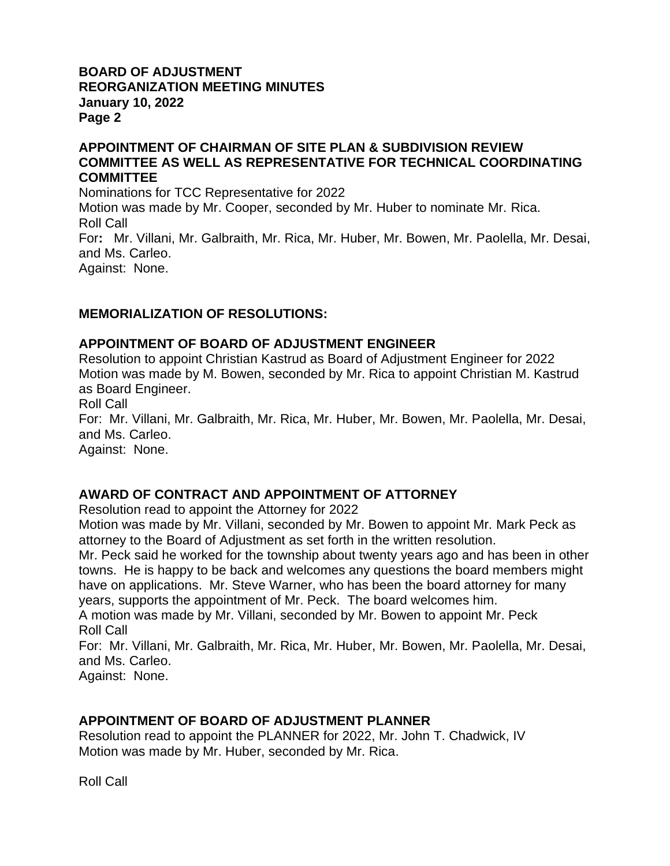## **BOARD OF ADJUSTMENT REORGANIZATION MEETING MINUTES January 10, 2022 Page 2**

## **APPOINTMENT OF CHAIRMAN OF SITE PLAN & SUBDIVISION REVIEW COMMITTEE AS WELL AS REPRESENTATIVE FOR TECHNICAL COORDINATING COMMITTEE**

Nominations for TCC Representative for 2022 Motion was made by Mr. Cooper, seconded by Mr. Huber to nominate Mr. Rica. Roll Call For**:** Mr. Villani, Mr. Galbraith, Mr. Rica, Mr. Huber, Mr. Bowen, Mr. Paolella, Mr. Desai, and Ms. Carleo. Against: None.

## **MEMORIALIZATION OF RESOLUTIONS:**

## **APPOINTMENT OF BOARD OF ADJUSTMENT ENGINEER**

Resolution to appoint Christian Kastrud as Board of Adjustment Engineer for 2022 Motion was made by M. Bowen, seconded by Mr. Rica to appoint Christian M. Kastrud as Board Engineer. Roll Call

For: Mr. Villani, Mr. Galbraith, Mr. Rica, Mr. Huber, Mr. Bowen, Mr. Paolella, Mr. Desai, and Ms. Carleo.

Against: None.

## **AWARD OF CONTRACT AND APPOINTMENT OF ATTORNEY**

Resolution read to appoint the Attorney for 2022

Motion was made by Mr. Villani, seconded by Mr. Bowen to appoint Mr. Mark Peck as attorney to the Board of Adjustment as set forth in the written resolution.

Mr. Peck said he worked for the township about twenty years ago and has been in other towns. He is happy to be back and welcomes any questions the board members might have on applications. Mr. Steve Warner, who has been the board attorney for many years, supports the appointment of Mr. Peck. The board welcomes him.

A motion was made by Mr. Villani, seconded by Mr. Bowen to appoint Mr. Peck Roll Call

For: Mr. Villani, Mr. Galbraith, Mr. Rica, Mr. Huber, Mr. Bowen, Mr. Paolella, Mr. Desai, and Ms. Carleo.

Against: None.

## **APPOINTMENT OF BOARD OF ADJUSTMENT PLANNER**

Resolution read to appoint the PLANNER for 2022, Mr. John T. Chadwick, IV Motion was made by Mr. Huber, seconded by Mr. Rica.

Roll Call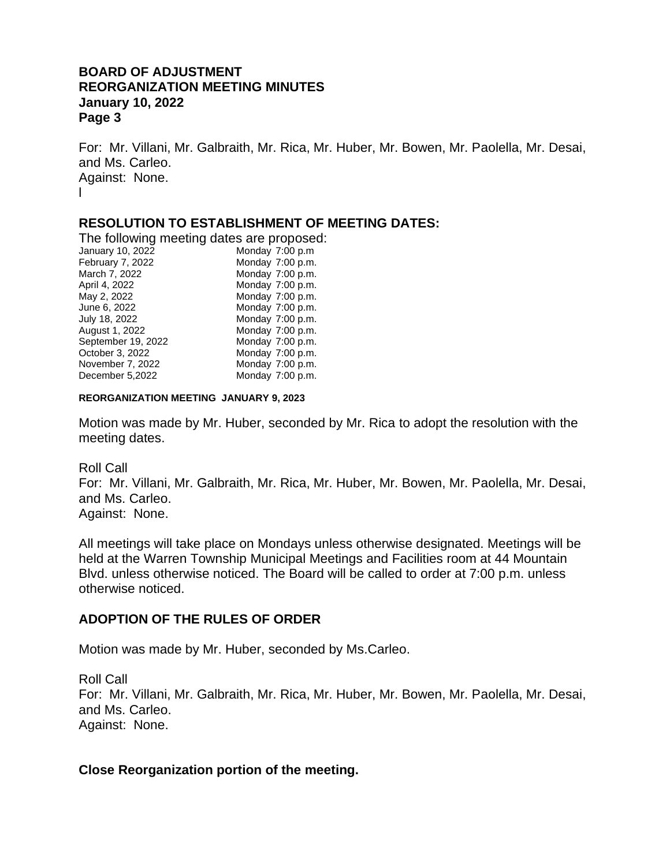### **BOARD OF ADJUSTMENT REORGANIZATION MEETING MINUTES January 10, 2022 Page 3**

For: Mr. Villani, Mr. Galbraith, Mr. Rica, Mr. Huber, Mr. Bowen, Mr. Paolella, Mr. Desai, and Ms. Carleo. Against: None. l

## **RESOLUTION TO ESTABLISHMENT OF MEETING DATES:**

The following meeting dates are proposed:

| January 10, 2022   | Monday 7:00 p.m  |
|--------------------|------------------|
| February 7, 2022   | Monday 7:00 p.m. |
| March 7, 2022      | Monday 7:00 p.m. |
| April 4, 2022      | Monday 7:00 p.m. |
| May 2, 2022        | Monday 7:00 p.m. |
| June 6, 2022       | Monday 7:00 p.m. |
| July 18, 2022      | Monday 7:00 p.m. |
| August 1, 2022     | Monday 7:00 p.m. |
| September 19, 2022 | Monday 7:00 p.m. |
| October 3, 2022    | Monday 7:00 p.m. |
| November 7, 2022   | Monday 7:00 p.m. |
| December 5,2022    | Monday 7:00 p.m. |

#### **REORGANIZATION MEETING JANUARY 9, 2023**

Motion was made by Mr. Huber, seconded by Mr. Rica to adopt the resolution with the meeting dates.

Roll Call

For: Mr. Villani, Mr. Galbraith, Mr. Rica, Mr. Huber, Mr. Bowen, Mr. Paolella, Mr. Desai, and Ms. Carleo.

Against: None.

All meetings will take place on Mondays unless otherwise designated. Meetings will be held at the Warren Township Municipal Meetings and Facilities room at 44 Mountain Blvd. unless otherwise noticed. The Board will be called to order at 7:00 p.m. unless otherwise noticed.

### **ADOPTION OF THE RULES OF ORDER**

Motion was made by Mr. Huber, seconded by Ms.Carleo.

Roll Call For: Mr. Villani, Mr. Galbraith, Mr. Rica, Mr. Huber, Mr. Bowen, Mr. Paolella, Mr. Desai, and Ms. Carleo. Against: None.

### **Close Reorganization portion of the meeting.**